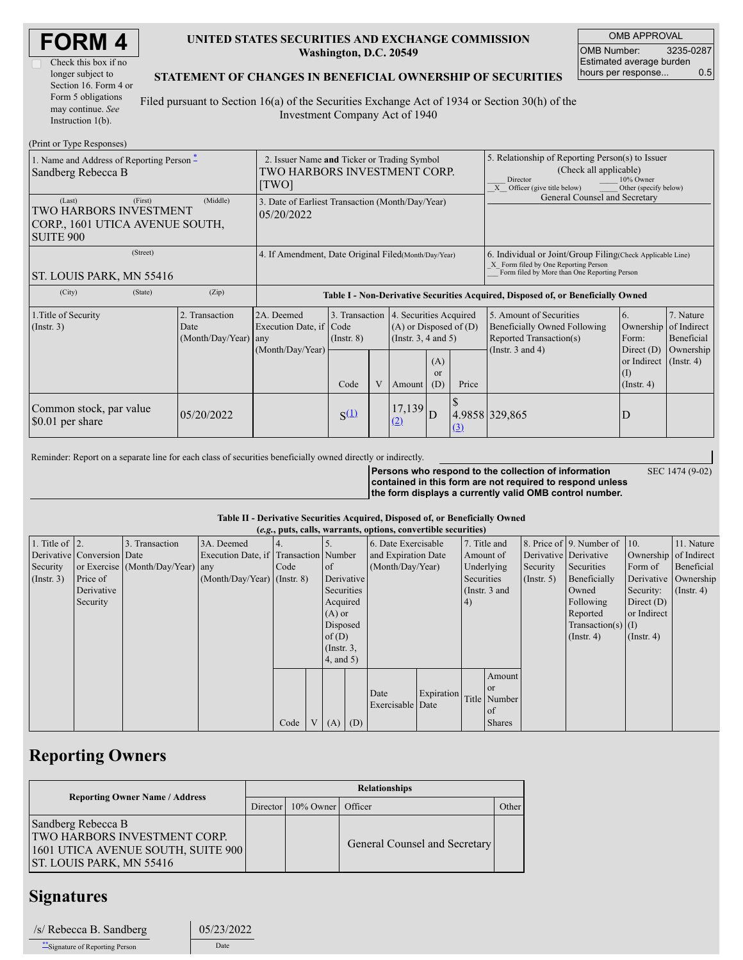| <b>FORM4</b> |  |
|--------------|--|
|--------------|--|

| Check this box if no  |  |  |  |  |
|-----------------------|--|--|--|--|
| longer subject to     |  |  |  |  |
| Section 16. Form 4 or |  |  |  |  |
| Form 5 obligations    |  |  |  |  |
| may continue. See     |  |  |  |  |
| Instruction $1(b)$ .  |  |  |  |  |

### **UNITED STATES SECURITIES AND EXCHANGE COMMISSION Washington, D.C. 20549**

OMB APPROVAL OMB Number: 3235-0287 Estimated average burden hours per response... 0.5

SEC 1474 (9-02)

### **STATEMENT OF CHANGES IN BENEFICIAL OWNERSHIP OF SECURITIES**

Filed pursuant to Section 16(a) of the Securities Exchange Act of 1934 or Section 30(h) of the Investment Company Act of 1940

| (Print or Type Responses)                                                                          |                                                                                      |                                                                  |                                   |   |                                                                                         |                      |                                                                                                                                                                           |                                                                                                             |                                                         |                                                                      |
|----------------------------------------------------------------------------------------------------|--------------------------------------------------------------------------------------|------------------------------------------------------------------|-----------------------------------|---|-----------------------------------------------------------------------------------------|----------------------|---------------------------------------------------------------------------------------------------------------------------------------------------------------------------|-------------------------------------------------------------------------------------------------------------|---------------------------------------------------------|----------------------------------------------------------------------|
| 1. Name and Address of Reporting Person $*$<br>Sandberg Rebecca B                                  | 2. Issuer Name and Ticker or Trading Symbol<br>TWO HARBORS INVESTMENT CORP.<br>[TWO] |                                                                  |                                   |   |                                                                                         |                      | 5. Relationship of Reporting Person(s) to Issuer<br>(Check all applicable)<br>10% Owner<br>Director<br>$\overline{X}$ Officer (give title below)<br>Other (specify below) |                                                                                                             |                                                         |                                                                      |
| (First)<br>(Last)<br>TWO HARBORS INVESTMENT<br>CORP., 1601 UTICA AVENUE SOUTH,<br><b>SUITE 900</b> | 3. Date of Earliest Transaction (Month/Day/Year)<br>05/20/2022                       |                                                                  |                                   |   |                                                                                         |                      | General Counsel and Secretary                                                                                                                                             |                                                                                                             |                                                         |                                                                      |
| (Street)<br><b>ST. LOUIS PARK, MN 55416</b>                                                        | 4. If Amendment, Date Original Filed (Month/Day/Year)                                |                                                                  |                                   |   |                                                                                         |                      | 6. Individual or Joint/Group Filing (Check Applicable Line)<br>X Form filed by One Reporting Person<br>Form filed by More than One Reporting Person                       |                                                                                                             |                                                         |                                                                      |
| (City)<br>(State)                                                                                  | (Zip)                                                                                |                                                                  |                                   |   |                                                                                         |                      |                                                                                                                                                                           | Table I - Non-Derivative Securities Acquired, Disposed of, or Beneficially Owned                            |                                                         |                                                                      |
| 1. Title of Security<br>$($ Instr. 3 $)$                                                           | 2. Transaction<br>Date<br>(Month/Day/Year)                                           | 2A. Deemed<br>Execution Date, if Code<br>any<br>(Month/Day/Year) | 3. Transaction<br>$($ Instr. $8)$ |   | 4. Securities Acquired<br>$(A)$ or Disposed of $(D)$<br>(Instr. $3, 4$ and $5$ )<br>(A) |                      |                                                                                                                                                                           | 5. Amount of Securities<br>Beneficially Owned Following<br>Reported Transaction(s)<br>(Instr. $3$ and $4$ ) | 6.<br>Ownership<br>Form:<br>Direct $(D)$<br>or Indirect | 7. Nature<br>of Indirect<br>Beneficial<br>Ownership<br>$($ Instr. 4) |
|                                                                                                    |                                                                                      |                                                                  | Code                              | V | Amount                                                                                  | <sub>or</sub><br>(D) | Price                                                                                                                                                                     |                                                                                                             | $(\mathrm{I})$<br>$($ Instr. 4 $)$                      |                                                                      |
| Common stock, par value<br>\$0.01 per share                                                        | 05/20/2022                                                                           |                                                                  | $S^{(1)}$                         |   | 17,139<br><u>(2)</u>                                                                    | D                    | (3)                                                                                                                                                                       | 4.9858 329,865                                                                                              | D                                                       |                                                                      |

Reminder: Report on a separate line for each class of securities beneficially owned directly or indirectly.

**Persons who respond to the collection of information contained in this form are not required to respond unless the form displays a currently valid OMB control number.**

#### **Table II - Derivative Securities Acquired, Disposed of, or Beneficially Owned**

| (e.g., puts, calls, warrants, options, convertible securities) |                            |                                  |                                       |      |  |                  |            |                     |            |                 |               |                  |                              |                       |                      |
|----------------------------------------------------------------|----------------------------|----------------------------------|---------------------------------------|------|--|------------------|------------|---------------------|------------|-----------------|---------------|------------------|------------------------------|-----------------------|----------------------|
| 1. Title of $ 2$ .                                             |                            | 3. Transaction                   | 3A. Deemed                            |      |  |                  |            | 6. Date Exercisable |            | 7. Title and    |               |                  | 8. Price of 9. Number of 10. |                       | 11. Nature           |
|                                                                | Derivative Conversion Date |                                  | Execution Date, if Transaction Number |      |  |                  |            | and Expiration Date |            | Amount of       |               |                  | Derivative Derivative        | Ownership of Indirect |                      |
| Security                                                       |                            | or Exercise (Month/Day/Year) any |                                       | Code |  | of               |            | (Month/Day/Year)    |            |                 | Underlying    | Security         | Securities                   | Form of               | Beneficial           |
| $($ Instr. 3 $)$                                               | Price of                   |                                  | $(Month/Day/Year)$ (Instr. 8)         |      |  |                  | Derivative |                     |            |                 | Securities    | $($ Instr. 5 $)$ | Beneficially                 |                       | Derivative Ownership |
|                                                                | Derivative                 |                                  |                                       |      |  | Securities       |            |                     |            | (Instr. $3$ and |               |                  | Owned                        | Security:             | $($ Instr. 4)        |
|                                                                | Security                   |                                  |                                       |      |  | Acquired         |            |                     | 4)         |                 |               | Following        | Direct $(D)$                 |                       |                      |
|                                                                |                            |                                  |                                       |      |  | $(A)$ or         |            |                     |            |                 |               |                  | Reported                     | or Indirect           |                      |
|                                                                |                            |                                  |                                       |      |  | Disposed         |            |                     |            |                 |               |                  | Transaction(s) $(I)$         |                       |                      |
|                                                                |                            |                                  |                                       |      |  | of $(D)$         |            |                     |            |                 |               |                  | $($ Instr. 4 $)$             | $($ Instr. 4)         |                      |
|                                                                |                            |                                  |                                       |      |  | $($ Instr. $3$ , |            |                     |            |                 |               |                  |                              |                       |                      |
|                                                                |                            |                                  |                                       |      |  | $4$ , and $5$ )  |            |                     |            |                 |               |                  |                              |                       |                      |
|                                                                |                            |                                  |                                       |      |  |                  |            |                     |            |                 | Amount        |                  |                              |                       |                      |
|                                                                |                            |                                  |                                       |      |  |                  |            |                     |            |                 | <sub>or</sub> |                  |                              |                       |                      |
|                                                                |                            |                                  |                                       |      |  |                  |            | Date                | Expiration |                 | Title Number  |                  |                              |                       |                      |
|                                                                |                            |                                  |                                       |      |  |                  |            | Exercisable Date    |            |                 | l of          |                  |                              |                       |                      |
|                                                                |                            |                                  |                                       | Code |  | V   (A)   (D)    |            |                     |            |                 | <b>Shares</b> |                  |                              |                       |                      |

## **Reporting Owners**

| <b>Reporting Owner Name / Address</b>                                                                                       | <b>Relationships</b> |                                |                               |       |  |  |  |  |
|-----------------------------------------------------------------------------------------------------------------------------|----------------------|--------------------------------|-------------------------------|-------|--|--|--|--|
|                                                                                                                             |                      | Director   10% Owner   Officer |                               | Other |  |  |  |  |
| Sandberg Rebecca B<br>TWO HARBORS INVESTMENT CORP.<br>1601 UTICA AVENUE SOUTH, SUITE 900<br><b>ST. LOUIS PARK, MN 55416</b> |                      |                                | General Counsel and Secretary |       |  |  |  |  |

## **Signatures**

| /s/ Rebecca B. Sandberg       | 05/23/2022 |
|-------------------------------|------------|
| Signature of Reporting Person | Date       |